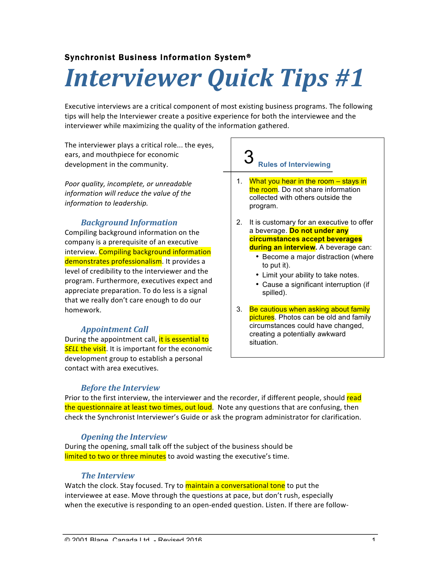## Synchronist Business Information System®

# *Interviewer Quick Tips #1*

Executive interviews are a critical component of most existing business programs. The following tips will help the Interviewer create a positive experience for both the interviewee and the interviewer while maximizing the quality of the information gathered.

The interviewer plays a critical role... the eyes, ears, and mouthpiece for economic development in the community.

*Poor quality, incomplete, or unreadable information* will reduce the value of the *information to leadership.*

## *Background Information*

Compiling background information on the company is a prerequisite of an executive interview. Compiling background information demonstrates professionalism. It provides a level of credibility to the interviewer and the program. Furthermore, executives expect and appreciate preparation. To do less is a signal that we really don't care enough to do our homework.

#### *Appointment Call*

During the appointment call, it is essential to **SELL** the visit. It is important for the economic development group to establish a personal contact with area executives.

#### **Rules of Interviewing** 3

- 1. What you hear in the room stays in the room. Do not share information collected with others outside the program.
- 2. It is customary for an executive to offer a beverage. **Do not under any circumstances accept beverages during an interview.** A beverage can:
	- Become a major distraction (where to put it).
	- Limit your ability to take notes.
	- Cause a significant interruption (if spilled).
- 3. Be cautious when asking about family pictures. Photos can be old and family circumstances could have changed, creating a potentially awkward situation.

#### **Before the Interview**

Prior to the first interview, the interviewer and the recorder, if different people, should read the questionnaire at least two times, out loud. Note any questions that are confusing, then check the Synchronist Interviewer's Guide or ask the program administrator for clarification.

#### *Opening the Interview*

During the opening, small talk off the subject of the business should be limited to two or three minutes to avoid wasting the executive's time.

#### *The Interview*

Watch the clock. Stay focused. Try to **maintain a conversational tone** to put the interviewee at ease. Move through the questions at pace, but don't rush, especially when the executive is responding to an open-ended question. Listen. If there are follow